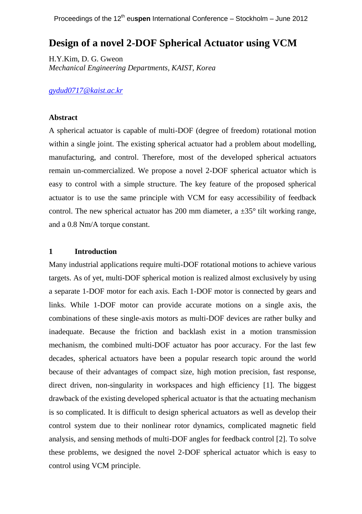# **Design of a novel 2-DOF Spherical Actuator using VCM**

H.Y.Kim, D. G. Gweon *Mechanical Engineering Departments, KAIST, Korea*

*[gydud0717@kaist.ac.kr](mailto:gydud0717@kaist.ac.kr)*

#### **Abstract**

A spherical actuator is capable of multi-DOF (degree of freedom) rotational motion within a single joint. The existing spherical actuator had a problem about modelling, manufacturing, and control. Therefore, most of the developed spherical actuators remain un-commercialized. We propose a novel 2-DOF spherical actuator which is easy to control with a simple structure. The key feature of the proposed spherical actuator is to use the same principle with VCM for easy accessibility of feedback control. The new spherical actuator has 200 mm diameter, a  $\pm 35^{\circ}$  tilt working range, and a 0.8 Nm/A torque constant.

### **1 Introduction**

Many industrial applications require multi-DOF rotational motions to achieve various targets. As of yet, multi-DOF spherical motion is realized almost exclusively by using a separate 1-DOF motor for each axis. Each 1-DOF motor is connected by gears and links. While 1-DOF motor can provide accurate motions on a single axis, the combinations of these single-axis motors as multi-DOF devices are rather bulky and inadequate. Because the friction and backlash exist in a motion transmission mechanism, the combined multi-DOF actuator has poor accuracy. For the last few decades, spherical actuators have been a popular research topic around the world because of their advantages of compact size, high motion precision, fast response, direct driven, non-singularity in workspaces and high efficiency [\[1\]](#page-3-0). The biggest drawback of the existing developed spherical actuator is that the actuating mechanism is so complicated. It is difficult to design spherical actuators as well as develop their control system due to their nonlinear rotor dynamics, complicated magnetic field analysis, and sensing methods of multi-DOF angles for feedback control [\[2\]](#page-3-1). To solve these problems, we designed the novel 2-DOF spherical actuator which is easy to control using VCM principle.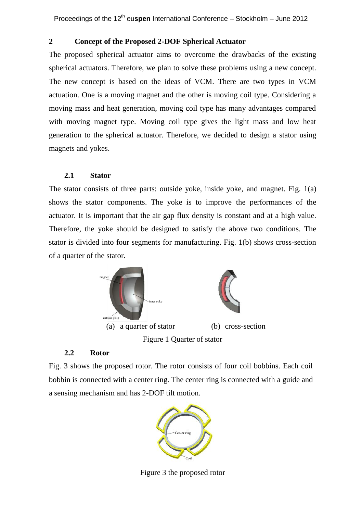# **2 Concept of the Proposed 2-DOF Spherical Actuator**

The proposed spherical actuator aims to overcome the drawbacks of the existing spherical actuators. Therefore, we plan to solve these problems using a new concept. The new concept is based on the ideas of VCM. There are two types in VCM actuation. One is a moving magnet and the other is moving coil type. Considering a moving mass and heat generation, moving coil type has many advantages compared with moving magnet type. Moving coil type gives the light mass and low heat generation to the spherical actuator. Therefore, we decided to design a stator using magnets and yokes.

### **2.1 Stator**

The stator consists of three parts: outside yoke, inside yoke, and magnet. Fig. 1(a) shows the stator components. The yoke is to improve the performances of the actuator. It is important that the air gap flux density is constant and at a high value. Therefore, the yoke should be designed to satisfy the above two conditions. The stator is divided into four segments for manufacturing. Fig. 1(b) shows cross-section of a quarter of the stator.



### **2.2 Rotor**

Fig. 3 shows the proposed rotor. The rotor consists of four coil bobbins. Each coil bobbin is connected with a center ring. The center ring is connected with a guide and a sensing mechanism and has 2-DOF tilt motion.



Figure 3 the proposed rotor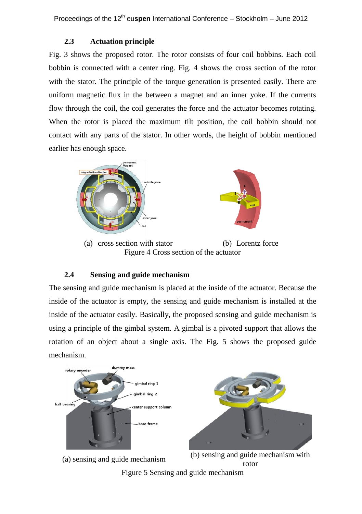## **2.3 Actuation principle**

Fig. 3 shows the proposed rotor. The rotor consists of four coil bobbins. Each coil bobbin is connected with a center ring. Fig. 4 shows the cross section of the rotor with the stator. The principle of the torque generation is presented easily. There are uniform magnetic flux in the between a magnet and an inner yoke. If the currents flow through the coil, the coil generates the force and the actuator becomes rotating. When the rotor is placed the maximum tilt position, the coil bobbin should not contact with any parts of the stator. In other words, the height of bobbin mentioned earlier has enough space.



(a) cross section with stator (b) Lorentz force Figure 4 Cross section of the actuator

### **2.4 Sensing and guide mechanism**

The sensing and guide mechanism is placed at the inside of the actuator. Because the inside of the actuator is empty, the sensing and guide mechanism is installed at the inside of the actuator easily. Basically, the proposed sensing and guide mechanism is using a principle of the gimbal system. A gimbal is a pivoted support that allows the rotation of an object about a single axis. The Fig. 5 shows the proposed guide mechanism.